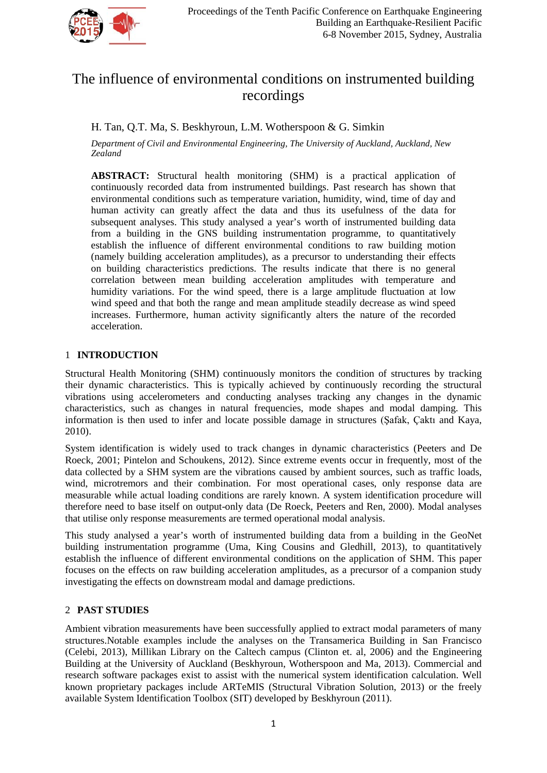

# The influence of environmental conditions on instrumented building recordings

H. Tan, Q.T. Ma, S. Beskhyroun, L.M. Wotherspoon & G. Simkin

*Department of Civil and Environmental Engineering, The University of Auckland, Auckland, New Zealand*

**ABSTRACT:** Structural health monitoring (SHM) is a practical application of continuously recorded data from instrumented buildings. Past research has shown that environmental conditions such as temperature variation, humidity, wind, time of day and human activity can greatly affect the data and thus its usefulness of the data for subsequent analyses. This study analysed a year's worth of instrumented building data from a building in the GNS building instrumentation programme, to quantitatively establish the influence of different environmental conditions to raw building motion (namely building acceleration amplitudes), as a precursor to understanding their effects on building characteristics predictions. The results indicate that there is no general correlation between mean building acceleration amplitudes with temperature and humidity variations. For the wind speed, there is a large amplitude fluctuation at low wind speed and that both the range and mean amplitude steadily decrease as wind speed increases. Furthermore, human activity significantly alters the nature of the recorded acceleration.

# 1 **INTRODUCTION**

Structural Health Monitoring (SHM) continuously monitors the condition of structures by tracking their dynamic characteristics. This is typically achieved by continuously recording the structural vibrations using accelerometers and conducting analyses tracking any changes in the dynamic characteristics, such as changes in natural frequencies, mode shapes and modal damping. This information is then used to infer and locate possible damage in structures (Şafak, Çaktı and Kaya, 2010).

System identification is widely used to track changes in dynamic characteristics (Peeters and De Roeck, 2001; Pintelon and Schoukens, 2012). Since extreme events occur in frequently, most of the data collected by a SHM system are the vibrations caused by ambient sources, such as traffic loads, wind, microtremors and their combination. For most operational cases, only response data are measurable while actual loading conditions are rarely known. A system identification procedure will therefore need to base itself on output-only data (De Roeck, Peeters and Ren, 2000). Modal analyses that utilise only response measurements are termed operational modal analysis.

This study analysed a year's worth of instrumented building data from a building in the GeoNet building instrumentation programme (Uma, King Cousins and Gledhill, 2013), to quantitatively establish the influence of different environmental conditions on the application of SHM. This paper focuses on the effects on raw building acceleration amplitudes, as a precursor of a companion study investigating the effects on downstream modal and damage predictions.

# 2 **PAST STUDIES**

Ambient vibration measurements have been successfully applied to extract modal parameters of many structures.Notable examples include the analyses on the Transamerica Building in San Francisco (Celebi, 2013), Millikan Library on the Caltech campus (Clinton et. al, 2006) and the Engineering Building at the University of Auckland (Beskhyroun, Wotherspoon and Ma, 2013). Commercial and research software packages exist to assist with the numerical system identification calculation. Well known proprietary packages include ARTeMIS (Structural Vibration Solution, 2013) or the freely available System Identification Toolbox (SIT) developed by Beskhyroun (2011).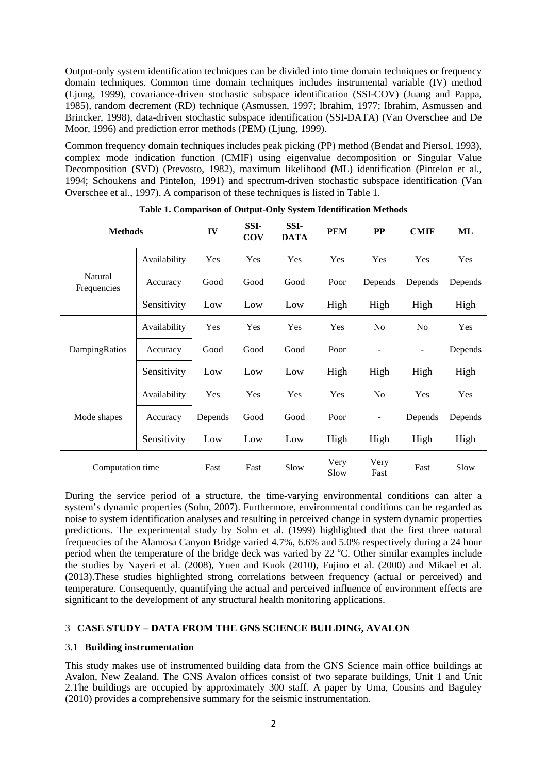Output-only system identification techniques can be divided into time domain techniques or frequency domain techniques. Common time domain techniques includes instrumental variable (IV) method (Ljung, 1999), covariance-driven stochastic subspace identification (SSI-COV) (Juang and Pappa, 1985), random decrement (RD) technique (Asmussen, 1997; Ibrahim, 1977; Ibrahim, Asmussen and Brincker, 1998), data-driven stochastic subspace identification (SSI-DATA) (Van Overschee and De Moor, 1996) and prediction error methods (PEM) (Ljung, 1999).

Common frequency domain techniques includes peak picking (PP) method (Bendat and Piersol, 1993), complex mode indication function (CMIF) using eigenvalue decomposition or Singular Value Decomposition (SVD) (Prevosto, 1982), maximum likelihood (ML) identification (Pintelon et al., 1994; Schoukens and Pintelon, 1991) and spectrum-driven stochastic subspace identification (Van Overschee et al., 1997). A comparison of these techniques is listed in Table 1.

| <b>Methods</b>         |              | IV      | SSI-<br><b>COV</b> | SSI-<br><b>DATA</b> | <b>PEM</b>   | <b>PP</b>      | <b>CMIF</b>              | ML      |
|------------------------|--------------|---------|--------------------|---------------------|--------------|----------------|--------------------------|---------|
| Natural<br>Frequencies | Availability | Yes     | Yes                | Yes                 | Yes          | Yes            | Yes                      | Yes     |
|                        | Accuracy     | Good    | Good               | Good                | Poor         | Depends        | Depends                  | Depends |
|                        | Sensitivity  | Low     | Low                | Low                 | High         | High           | High                     | High    |
| DampingRatios          | Availability | Yes     | Yes                | Yes                 | Yes          | N <sub>o</sub> | No                       | Yes     |
|                        | Accuracy     | Good    | Good               | Good                | Poor         |                | $\overline{\phantom{a}}$ | Depends |
|                        | Sensitivity  | Low     | Low                | Low                 | High         | High           | High                     | High    |
| Mode shapes            | Availability | Yes     | Yes                | Yes                 | Yes          | N <sub>o</sub> | Yes                      | Yes     |
|                        | Accuracy     | Depends | Good               | Good                | Poor         | ۰              | Depends                  | Depends |
|                        | Sensitivity  | Low     | Low                | Low                 | High         | High           | High                     | High    |
| Computation time       |              | Fast    | Fast               | Slow                | Very<br>Slow | Very<br>Fast   | Fast                     | Slow    |

**Table 1. Comparison of Output-Only System Identification Methods**

During the service period of a structure, the time-varying environmental conditions can alter a system's dynamic properties (Sohn, 2007). Furthermore, environmental conditions can be regarded as noise to system identification analyses and resulting in perceived change in system dynamic properties predictions. The experimental study by Sohn et al. (1999) highlighted that the first three natural frequencies of the Alamosa Canyon Bridge varied 4.7%, 6.6% and 5.0% respectively during a 24 hour period when the temperature of the bridge deck was varied by 22 °C. Other similar examples include the studies by Nayeri et al. (2008), Yuen and Kuok (2010), Fujino et al. (2000) and Mikael et al. (2013).These studies highlighted strong correlations between frequency (actual or perceived) and temperature. Consequently, quantifying the actual and perceived influence of environment effects are significant to the development of any structural health monitoring applications.

# 3 **CASE STUDY – DATA FROM THE GNS SCIENCE BUILDING, AVALON**

# 3.1 **Building instrumentation**

This study makes use of instrumented building data from the GNS Science main office buildings at Avalon, New Zealand. The GNS Avalon offices consist of two separate buildings, Unit 1 and Unit 2.The buildings are occupied by approximately 300 staff. A paper by Uma, Cousins and Baguley (2010) provides a comprehensive summary for the seismic instrumentation.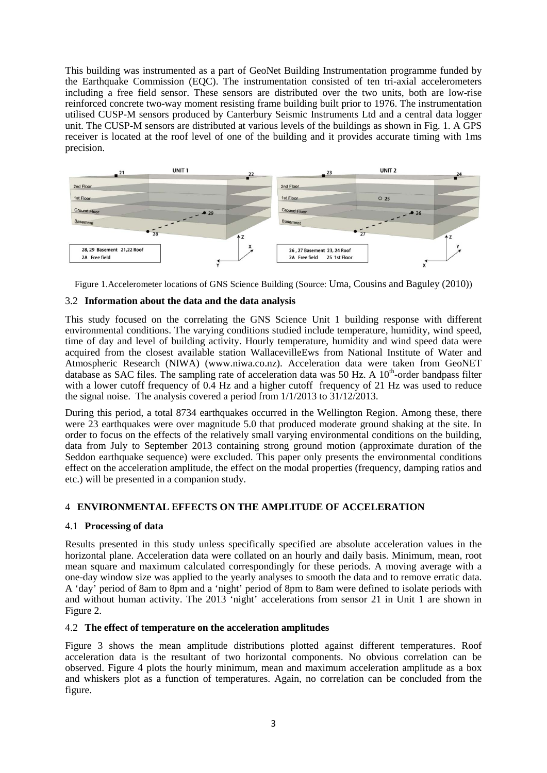This building was instrumented as a part of GeoNet Building Instrumentation programme funded by the Earthquake Commission (EQC). The instrumentation consisted of ten tri-axial accelerometers including a free field sensor. These sensors are distributed over the two units, both are low-rise reinforced concrete two-way moment resisting frame building built prior to 1976. The instrumentation utilised CUSP-M sensors produced by Canterbury Seismic Instruments Ltd and a central data logger unit. The CUSP-M sensors are distributed at various levels of the buildings as shown in Fig. 1. A GPS receiver is located at the roof level of one of the building and it provides accurate timing with 1ms precision.



Figure 1.Accelerometer locations of GNS Science Building (Source: Uma, Cousins and Baguley (2010))

# 3.2 **Information about the data and the data analysis**

This study focused on the correlating the GNS Science Unit 1 building response with different environmental conditions. The varying conditions studied include temperature, humidity, wind speed, time of day and level of building activity. Hourly temperature, humidity and wind speed data were acquired from the closest available station WallacevilleEws from National Institute of Water and Atmospheric Research (NIWA) (www.niwa.co.nz). Acceleration data were taken from GeoNET database as SAC files. The sampling rate of acceleration data was  $50$  Hz. A  $10<sup>th</sup>$ -order bandpass filter with a lower cutoff frequency of 0.4 Hz and a higher cutoff frequency of 21 Hz was used to reduce the signal noise. The analysis covered a period from 1/1/2013 to 31/12/2013.

During this period, a total 8734 earthquakes occurred in the Wellington Region. Among these, there were 23 earthquakes were over magnitude 5.0 that produced moderate ground shaking at the site. In order to focus on the effects of the relatively small varying environmental conditions on the building, data from July to September 2013 containing strong ground motion (approximate duration of the Seddon earthquake sequence) were excluded. This paper only presents the environmental conditions effect on the acceleration amplitude, the effect on the modal properties (frequency, damping ratios and etc.) will be presented in a companion study.

# 4 **ENVIRONMENTAL EFFECTS ON THE AMPLITUDE OF ACCELERATION**

## 4.1 **Processing of data**

Results presented in this study unless specifically specified are absolute acceleration values in the horizontal plane. Acceleration data were collated on an hourly and daily basis. Minimum, mean, root mean square and maximum calculated correspondingly for these periods. A moving average with a one-day window size was applied to the yearly analyses to smooth the data and to remove erratic data. A 'day' period of 8am to 8pm and a 'night' period of 8pm to 8am were defined to isolate periods with and without human activity. The 2013 'night' accelerations from sensor 21 in Unit 1 are shown in Figure 2.

## 4.2 **The effect of temperature on the acceleration amplitudes**

Figure 3 shows the mean amplitude distributions plotted against different temperatures. Roof acceleration data is the resultant of two horizontal components. No obvious correlation can be observed. Figure 4 plots the hourly minimum, mean and maximum acceleration amplitude as a box and whiskers plot as a function of temperatures. Again, no correlation can be concluded from the figure.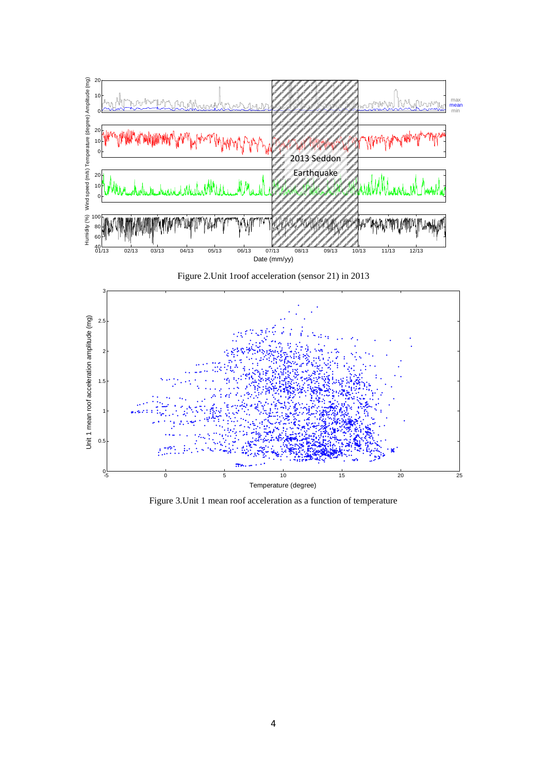

Figure 3.Unit 1 mean roof acceleration as a function of temperature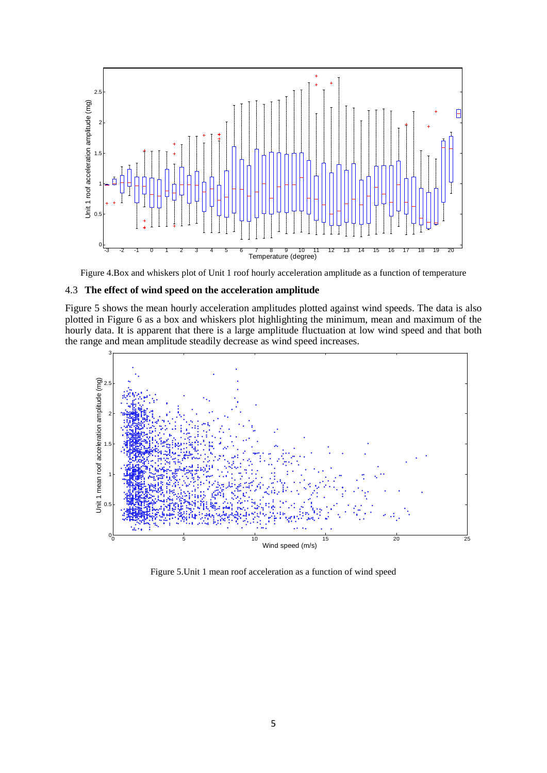

Figure 4.Box and whiskers plot of Unit 1 roof hourly acceleration amplitude as a function of temperature

#### 4.3 **The effect of wind speed on the acceleration amplitude**

Figure 5 shows the mean hourly acceleration amplitudes plotted against wind speeds. The data is also plotted in Figure 6 as a box and whiskers plot highlighting the minimum, mean and maximum of the hourly data. It is apparent that there is a large amplitude fluctuation at low wind speed and that both the range and mean amplitude steadily decrease as wind speed increases.



Figure 5.Unit 1 mean roof acceleration as a function of wind speed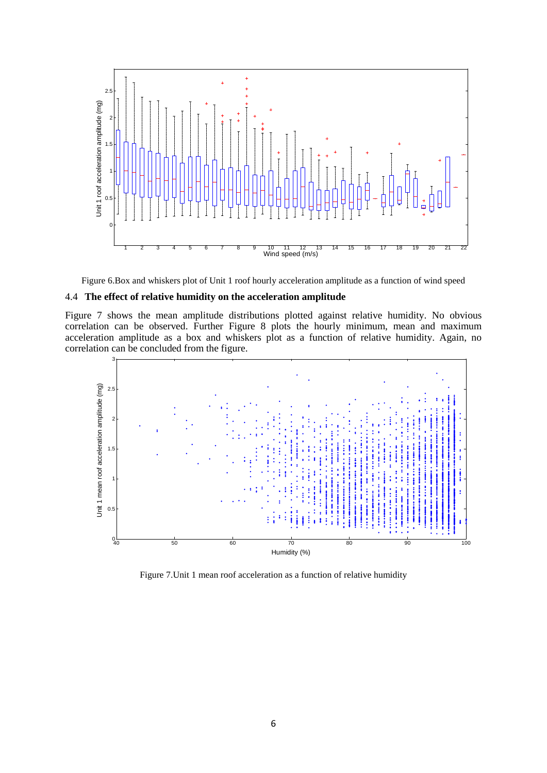

Figure 6.Box and whiskers plot of Unit 1 roof hourly acceleration amplitude as a function of wind speed

### 4.4 **The effect of relative humidity on the acceleration amplitude**

Figure 7 shows the mean amplitude distributions plotted against relative humidity. No obvious correlation can be observed. Further Figure 8 plots the hourly minimum, mean and maximum acceleration amplitude as a box and whiskers plot as a function of relative humidity. Again, no correlation can be concluded from the figure.



Figure 7.Unit 1 mean roof acceleration as a function of relative humidity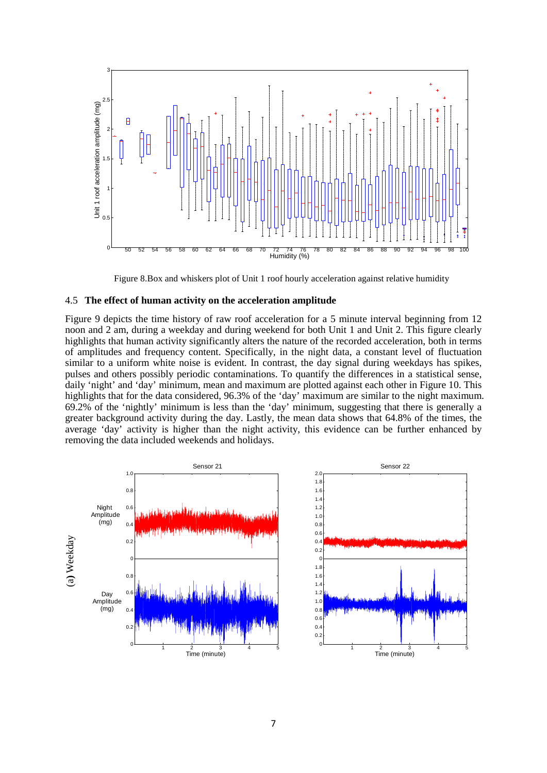

Figure 8.Box and whiskers plot of Unit 1 roof hourly acceleration against relative humidity

#### 4.5 **The effect of human activity on the acceleration amplitude**

Figure 9 depicts the time history of raw roof acceleration for a 5 minute interval beginning from 12 noon and 2 am, during a weekday and during weekend for both Unit 1 and Unit 2. This figure clearly highlights that human activity significantly alters the nature of the recorded acceleration, both in terms of amplitudes and frequency content. Specifically, in the night data, a constant level of fluctuation similar to a uniform white noise is evident. In contrast, the day signal during weekdays has spikes, pulses and others possibly periodic contaminations. To quantify the differences in a statistical sense, daily 'night' and 'day' minimum, mean and maximum are plotted against each other in Figure 10. This highlights that for the data considered, 96.3% of the 'day' maximum are similar to the night maximum. 69.2% of the 'nightly' minimum is less than the 'day' minimum, suggesting that there is generally a greater background activity during the day. Lastly, the mean data shows that 64.8% of the times, the average 'day' activity is higher than the night activity, this evidence can be further enhanced by removing the data included weekends and holidays.



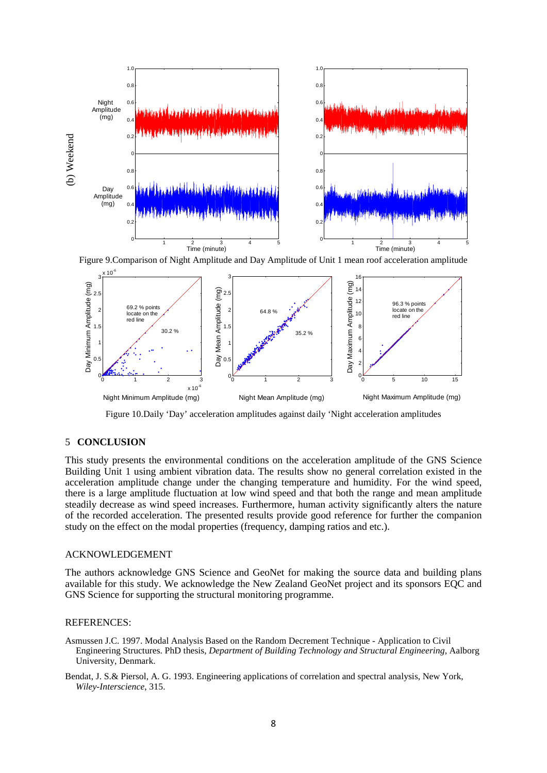

Figure 9.Comparison of Night Amplitude and Day Amplitude of Unit 1 mean roof acceleration amplitude



Figure 10.Daily 'Day' acceleration amplitudes against daily 'Night acceleration amplitudes

#### 5 **CONCLUSION**

This study presents the environmental conditions on the acceleration amplitude of the GNS Science Building Unit 1 using ambient vibration data. The results show no general correlation existed in the acceleration amplitude change under the changing temperature and humidity. For the wind speed, there is a large amplitude fluctuation at low wind speed and that both the range and mean amplitude steadily decrease as wind speed increases. Furthermore, human activity significantly alters the nature of the recorded acceleration. The presented results provide good reference for further the companion study on the effect on the modal properties (frequency, damping ratios and etc.).

#### ACKNOWLEDGEMENT

The authors acknowledge GNS Science and GeoNet for making the source data and building plans available for this study. We acknowledge the New Zealand GeoNet project and its sponsors EQC and GNS Science for supporting the structural monitoring programme.

#### REFERENCES:

- Asmussen J.C. 1997. Modal Analysis Based on the Random Decrement Technique Application to Civil Engineering Structures. PhD thesis, *Department of Building Technology and Structural Engineering*, Aalborg University, Denmark.
- Bendat, J. S.& Piersol, A. G. 1993. Engineering applications of correlation and spectral analysis, New York, *Wiley-Interscience*, 315.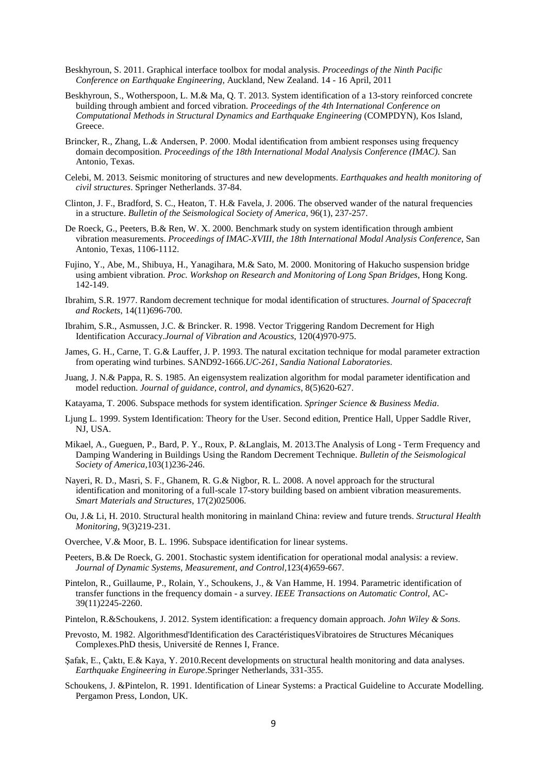- Beskhyroun, S. 2011. Graphical interface toolbox for modal analysis. *Proceedings of the Ninth Pacific Conference on Earthquake Engineering*, Auckland, New Zealand. 14 - 16 April, 2011
- Beskhyroun, S., Wotherspoon, L. M.& Ma, Q. T. 2013. System identification of a 13-story reinforced concrete building through ambient and forced vibration. *Proceedings of the 4th International Conference on Computational Methods in Structural Dynamics and Earthquake Engineering* (COMPDYN), Kos Island, Greece.
- Brincker, R., Zhang, L.& Andersen, P. 2000. Modal identification from ambient responses using frequency domain decomposition. *Proceedings of the 18th International Modal Analysis Conference (IMAC)*. San Antonio, Texas.
- Celebi, M. 2013. Seismic monitoring of structures and new developments. *Earthquakes and health monitoring of civil structures*. Springer Netherlands. 37-84.
- Clinton, J. F., Bradford, S. C., Heaton, T. H.& Favela, J. 2006. The observed wander of the natural frequencies in a structure. *Bulletin of the Seismological Society of America,* 96(1), 237-257.
- De Roeck, G., Peeters, B.& Ren, W. X. 2000. Benchmark study on system identification through ambient vibration measurements. *Proceedings of IMAC-XVIII, the 18th International Modal Analysis Conference*, San Antonio, Texas, 1106-1112.
- Fujino, Y., Abe, M., Shibuya, H., Yanagihara, M.& Sato, M. 2000. Monitoring of Hakucho suspension bridge using ambient vibration. *Proc. Workshop on Research and Monitoring of Long Span Bridges*, Hong Kong. 142-149.
- Ibrahim, S.R. 1977. Random decrement technique for modal identification of structures. *Journal of Spacecraft and Rockets*, 14(11)696-700.
- Ibrahim, S.R., Asmussen, J.C. & Brincker. R. 1998. Vector Triggering Random Decrement for High Identification Accuracy.*Journal of Vibration and Acoustics*, 120(4)970-975.
- James, G. H., Carne, T. G.& Lauffer, J. P. 1993. The natural excitation technique for modal parameter extraction from operating wind turbines. SAND92-1666.*UC-261, Sandia National Laboratories*.
- Juang, J. N.& Pappa, R. S. 1985. An eigensystem realization algorithm for modal parameter identification and model reduction. *Journal of guidance, control, and dynamics*, 8(5)620-627.
- Katayama, T. 2006. Subspace methods for system identification. *Springer Science & Business Media*.
- Ljung L. 1999. System Identification: Theory for the User. Second edition, Prentice Hall, Upper Saddle River, NJ, USA.
- Mikael, A., Gueguen, P., Bard, P. Y., Roux, P. &Langlais, M. 2013.The Analysis of Long Term Frequency and Damping Wandering in Buildings Using the Random Decrement Technique. *Bulletin of the Seismological Society of America,*103(1)236-246.
- Nayeri, R. D., Masri, S. F., Ghanem, R. G.& Nigbor, R. L. 2008. A novel approach for the structural identification and monitoring of a full-scale 17-story building based on ambient vibration measurements. *Smart Materials and Structures*, 17(2)025006.
- Ou, J.& Li, H. 2010. Structural health monitoring in mainland China: review and future trends. *Structural Health Monitoring*, 9(3)219-231.
- Overchee, V.& Moor, B. L. 1996. Subspace identification for linear systems.
- Peeters, B.& De Roeck, G. 2001. Stochastic system identification for operational modal analysis: a review. *Journal of Dynamic Systems, Measurement, and Control,*123(4)659-667.
- Pintelon, R., Guillaume, P., Rolain, Y., Schoukens, J., & Van Hamme, H. 1994. Parametric identification of transfer functions in the frequency domain - a survey. *IEEE Transactions on Automatic Control*, AC-39(11)2245-2260.
- Pintelon, R.&Schoukens, J. 2012. System identification: a frequency domain approach. *John Wiley & Sons*.
- Prevosto, M. 1982. Algorithmesd'Identification des CaractéristiquesVibratoires de Structures Mécaniques Complexes.PhD thesis, Université de Rennes I, France.
- Şafak, E., Çaktı, E.& Kaya, Y. 2010.Recent developments on structural health monitoring and data analyses. *Earthquake Engineering in Europe*.Springer Netherlands, 331-355.
- Schoukens, J. &Pintelon, R. 1991. Identification of Linear Systems: a Practical Guideline to Accurate Modelling. Pergamon Press, London, UK.